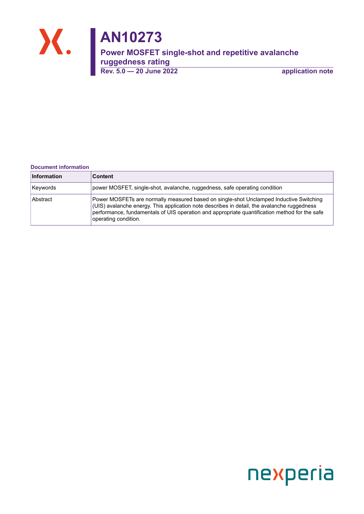

#### **Document information**

| Information | <b>Content</b>                                                                                                                                                                                                                                                                                                         |
|-------------|------------------------------------------------------------------------------------------------------------------------------------------------------------------------------------------------------------------------------------------------------------------------------------------------------------------------|
| Keywords    | power MOSFET, single-shot, avalanche, ruggedness, safe operating condition                                                                                                                                                                                                                                             |
| Abstract    | Power MOSFETs are normally measured based on single-shot Unclamped Inductive Switching<br>$\vert$ (UIS) avalanche energy. This application note describes in detail, the avalanche ruggedness<br>performance, fundamentals of UIS operation and appropriate quantification method for the safe<br>operating condition. |

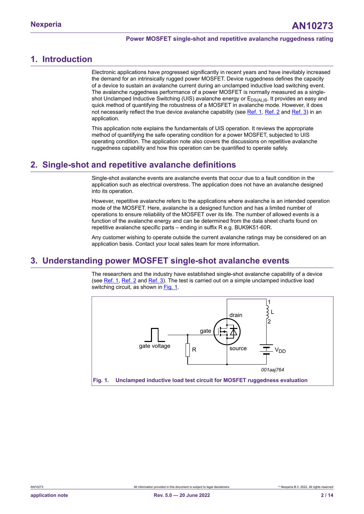## <span id="page-1-1"></span>**1. Introduction**

Electronic applications have progressed significantly in recent years and have inevitably increased the demand for an intrinsically rugged power MOSFET. Device ruggedness defines the capacity of a device to sustain an avalanche current during an unclamped inductive load switching event. The avalanche ruggedness performance of a power MOSFET is normally measured as a singleshot Unclamped Inductive Switching (UIS) avalanche energy or E<sub>DS(AL)S</sub>. It provides an easy and quick method of quantifying the robustness of a MOSFET in avalanche mode. However, it does not necessarily reflect the true device avalanche capability (see [Ref. 1](#page-9-0), [Ref. 2](#page-9-1) and [Ref. 3](#page-9-2)) in an application.

This application note explains the fundamentals of UIS operation. It reviews the appropriate method of quantifying the safe operating condition for a power MOSFET, subjected to UIS operating condition. The application note also covers the discussions on repetitive avalanche ruggedness capability and how this operation can be quantified to operate safely.

## <span id="page-1-2"></span>**2. Single-shot and repetitive avalanche definitions**

Single-shot avalanche events are avalanche events that occur due to a fault condition in the application such as electrical overstress. The application does not have an avalanche designed into its operation.

However, repetitive avalanche refers to the applications where avalanche is an intended operation mode of the MOSFET. Here, avalanche is a designed function and has a limited number of operations to ensure reliability of the MOSFET over its life. The number of allowed events is a function of the avalanche energy and can be determined from the data sheet charts found on repetitive avalanche specific parts – ending in suffix R e.g. BUK9K51-60R.

Any customer wishing to operate outside the current avalanche ratings may be considered on an application basis. Contact your local sales team for more information.

## <span id="page-1-3"></span>**3. Understanding power MOSFET single-shot avalanche events**

The researchers and the industry have established single-shot avalanche capability of a device (see [Ref. 1,](#page-9-0) [Ref. 2](#page-9-1) and [Ref. 3\)](#page-9-2). The test is carried out on a simple unclamped inductive load switching circuit, as shown in [Fig. 1](#page-1-0).

<span id="page-1-0"></span>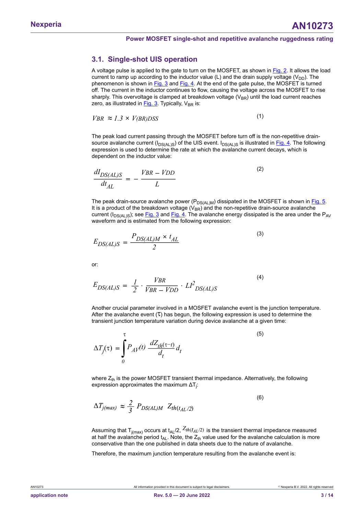### <span id="page-2-3"></span>**3.1. Single-shot UIS operation**

A voltage pulse is applied to the gate to turn on the MOSFET, as shown in [Fig. 2.](#page-3-0) It allows the load current to ramp up according to the inductor value (L) and the drain supply voltage ( $V_{DD}$ ). The phenomenon is shown in [Fig. 3](#page-3-1) and [Fig. 4.](#page-3-2) At the end of the gate pulse, the MOSFET is turned off. The current in the inductor continues to flow, causing the voltage across the MOSFET to rise sharply. This overvoltage is clamped at breakdown voltage ( $V_{BR}$ ) until the load current reaches zero, as illustrated in  $Fig. 3$ . Typically,  $V_{BR}$  is:

$$
VBR \approx I.3 \times V(BR)DSS \tag{1}
$$

The peak load current passing through the MOSFET before turn off is the non-repetitive drainsource avalanche current ( $I_{DS(AL)S}$ ) of the UIS event.  $I_{DS(AL)S}$  is illustrated in [Fig. 4](#page-3-2). The following expression is used to determine the rate at which the avalanche current decays, which is dependent on the inductor value:  $\frac{L}{L}$  current passing thro<br>
che current ( $I_{DS(AL)S}$ )<br>
used to determine the<br>
the inductor value:<br>  $= -\frac{VBR - VDD}{L}$ 

 $(2)$ 

(5)

(6)

source available current (
$$
I_{DS(AL)S}
$$
) of the UIS event.  $I_{DS(AL)S}$  is illustrate expression is used to determine the rate at which the avalanche current dependent on the inductor value:  
\n
$$
\frac{dI_{DS(AL)S}}{dt_{AL}} = -\frac{VBR - VDD}{L}
$$
\n(2)

<span id="page-2-1"></span>The peak drain-source avalanche power ( $P_{DS(ALM)}$ ) dissipated in the MOSFET is shown in [Fig. 5](#page-3-3). It is a product of the breakdown voltage  $(V_{BR})$  and the non-repetitive drain-source avalanche current ( $I_{DS(AL)S}$ ); see [Fig. 3](#page-3-1) and [Fig. 4.](#page-3-2) The avalanche energy dissipated is the area under the P<sub>AV</sub> waveform and is estimated from the following expression:  $\frac{DE(AD)S}{dt_{AL}}$  =  $\frac{L}{L}$ <br>
The peak drain-source avalanche potation is a product of the breakdown voltaturent ( $I_{DS(AL)S}$ ); see <u>Fig. 3</u> and Fig.<br>
waveform and is estimated from the<br>  $E_{DS(AL)S} = \frac{P_{DS(AL)M} \times t_{AL}}{2}$ <br>

<span id="page-2-0"></span>
$$
E_{DS(AL)S} = \frac{P_{DS(AL)M} \times t_{AL}}{2}
$$
\n(3)

or:

$$
E_{DS(AL)S} \t 2
$$
\nor:

\n
$$
E_{DS(AL)S} = \frac{1}{2} \cdot \frac{VBR}{VBR - VDD} \cdot LI^{2}_{DS(AL)S}
$$
\n(4)

Another crucial parameter involved in a MOSFET avalanche event is the junction temperature. After the avalanche event  $(T)$  has begun, the following expression is used to determine the transient junction temperature variation during device avalanche at a given time:

After the available event (T) has begun, the following  
transient junction temperature variation during device  

$$
\Delta T_j(\tau) = \int_0^{\tau} P_A \gamma(t) \frac{dZ_{th}(\tau-t)}{d_t} d_t
$$

where  $Z_{\text{th}}$  is the power MOSFET transient thermal impedance. Alternatively, the following expression approximates the maximum  $\Delta\mathsf{T}_{\mathsf{j}}$ :

<span id="page-2-2"></span>
$$
\Delta T_{j(max)} \approx \frac{2}{3} P_{DS(AL)M} Z_{th(t_{AL}/2)}
$$

Assuming that T<sub>i(max)</sub> occurs at t<sub>AL</sub>/2,  $Z_{th}(t_{AL}/2)$  is the transient thermal impedance measured at half the avalanche period  $t_{AL}$ . Note, the  $Z_{th}$  value used for the avalanche calculation is more conservative than the one published in data sheets due to the nature of avalanche.

Therefore, the maximum junction temperature resulting from the avalanche event is: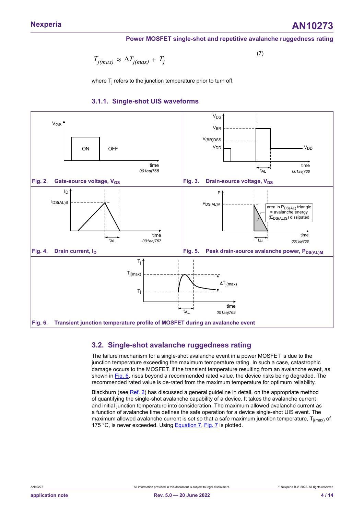**Nexperia AN10273**

#### **Power MOSFET single-shot and repetitive avalanche ruggedness rating**

(7)

<span id="page-3-5"></span>
$$
T_{j(max)} \approx \Delta T_{j(max)} + T_j
$$

where  ${\sf T}_{\sf j}$  refers to the junction temperature prior to turn off.

#### <span id="page-3-6"></span><span id="page-3-3"></span><span id="page-3-1"></span>**3.1.1. Single-shot UIS waveforms**

<span id="page-3-2"></span><span id="page-3-0"></span>

### <span id="page-3-7"></span><span id="page-3-4"></span>**3.2. Single-shot avalanche ruggedness rating**

The failure mechanism for a single-shot avalanche event in a power MOSFET is due to the junction temperature exceeding the maximum temperature rating. In such a case, catastrophic damage occurs to the MOSFET. If the transient temperature resulting from an avalanche event, as shown in [Fig. 6](#page-3-4), rises beyond a recommended rated value, the device risks being degraded. The recommended rated value is de-rated from the maximum temperature for optimum reliability.

Blackburn (see [Ref. 2](#page-9-1)) has discussed a general quideline in detail, on the appropriate method of quantifying the single-shot avalanche capability of a device. It takes the avalanche current and initial junction temperature into consideration. The maximum allowed avalanche current as a function of avalanche time defines the safe operation for a device single-shot UIS event. The maximum allowed avalanche current is set so that a safe maximum junction temperature,  $T_{i(max)}$  of 175 °C, is never exceeded. Using [Equation 7](#page-3-5), [Fig. 7](#page-4-0) is plotted.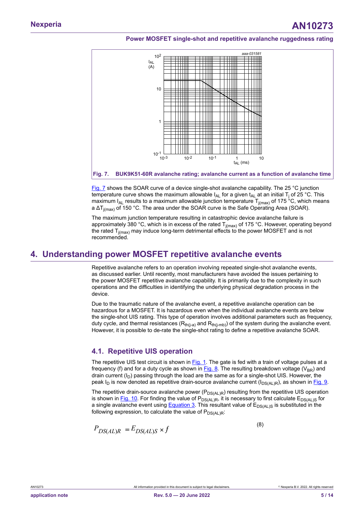<span id="page-4-0"></span>

**Fig. 7. BUK9K51-60R avalanche rating; avalanche current as a function of avalanche time**

[Fig. 7](#page-4-0) shows the SOAR curve of a device single-shot avalanche capability. The 25 °C junction temperature curve shows the maximum allowable l<sub>AL</sub> for a given t<sub>AL</sub> at an initial T<sub>j</sub> of 25 °C. This maximum  $I_{AL}$  results to a maximum allowable junction temperature  $T_{j(max)}$  of 175<sup>3</sup>C, which means a  $\Delta T_{j(max)}$  of 150 °C. The area under the SOAR curve is the Safe Operating Area (SOAR).

The maximum junction temperature resulting in catastrophic device avalanche failure is approximately 380 °C, which is in excess of the rated  $T_{j(max)}$  of 175 °C. However, operating beyond the rated  $T_{j(max)}$  may induce long-term detrimental effects to the power MOSFET and is not recommended.

### <span id="page-4-2"></span>**4. Understanding power MOSFET repetitive avalanche events**

Repetitive avalanche refers to an operation involving repeated single-shot avalanche events, as discussed earlier. Until recently, most manufacturers have avoided the issues pertaining to the power MOSFET repetitive avalanche capability. It is primarily due to the complexity in such operations and the difficulties in identifying the underlying physical degradation process in the device.

Due to the traumatic nature of the avalanche event, a repetitive avalanche operation can be hazardous for a MOSFET. It is hazardous even when the individual avalanche events are below the single-shot UIS rating. This type of operation involves additional parameters such as frequency, duty cycle, and thermal resistances  $(R<sub>th(i-a)</sub>$  and  $R<sub>th(i-mb)</sub>$  of the system during the avalanche event. However, it is possible to de-rate the single-shot rating to define a repetitive avalanche SOAR.

### <span id="page-4-3"></span>**4.1. Repetitive UIS operation**

The repetitive UIS test circuit is shown in [Fig. 1.](#page-1-0) The gate is fed with a train of voltage pulses at a frequency (f) and for a duty cycle as shown in  $Fig. 8$ . The resulting breakdown voltage (V<sub>BR</sub>) and drain current  $(I_D)$  passing through the load are the same as for a single-shot UIS. However, the peak I<sub>D</sub> is now denoted as repetitive drain-source avalanche current (I<sub>DS(AL)R</sub>), as shown in [Fig. 9](#page-5-1).

The repetitive drain-source avalanche power ( $P_{DS(AL)R}$ ) resulting from the repetitive UIS operation is shown in [Fig. 10](#page-5-2). For finding the value of  $P_{DS(AL)R}$ , it is necessary to first calculate  $E_{DS(AL)S}$  for a single avalanche event using [Equation 3.](#page-2-0) This resultant value of  $E_{DS(A)}$  is is substituted in the following expression, to calculate the value of  $P_{DS(AL)R}$ :

<span id="page-4-1"></span>
$$
P_{DS(AL)R} = E_{DS(AL)S} \times f
$$

(8)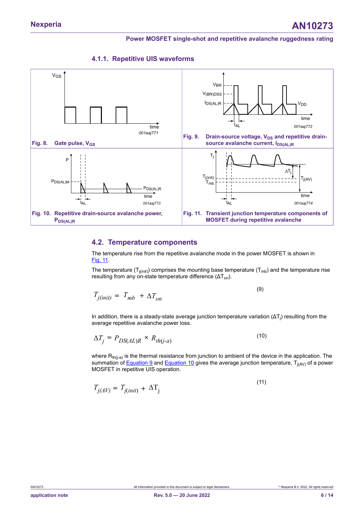<span id="page-5-7"></span><span id="page-5-1"></span>

<span id="page-5-2"></span><span id="page-5-0"></span>

#### <span id="page-5-8"></span><span id="page-5-3"></span>**4.2. Temperature components**

The temperature rise from the repetitive avalanche mode in the power MOSFET is shown in [Fig.](#page-5-3) 11.

The temperature ( $T_{j(int)}$ ) comprises the mounting base temperature ( $T_{mb}$ ) and the temperature rise resulting from any on-state temperature difference  $(\Delta T_{on})$ .

<span id="page-5-4"></span>
$$
T_{j(init)} = T_{mb} + \Delta T_{on}
$$
\n(9)

In addition, there is a steady-state average junction temperature variation (ΔT<sub>j</sub>) resulting from the average repetitive avalanche power loss.

<span id="page-5-5"></span>
$$
\Delta T_j = P_{DS(AL)R} \times R_{th(j-a)} \tag{10}
$$

where  $R_{th(j-a)}$  is the thermal resistance from junction to ambient of the device in the application. The summation of <u>Equation 9</u> and <u>Equation 10</u> gives the average junction temperature, T<sub>j(AV)</sub> of a power MOSFET in repetitive UIS operation.

<span id="page-5-6"></span>
$$
T_{j(AV)} = T_{j(int)} + \Delta T_j
$$
\n(11)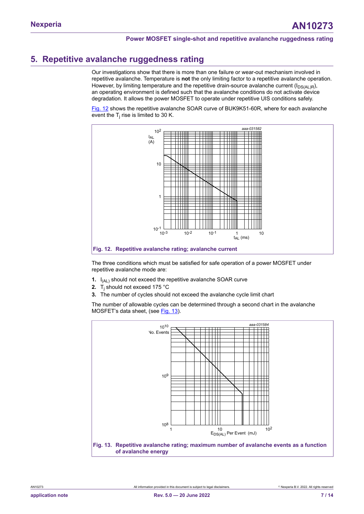# <span id="page-6-2"></span>**5. Repetitive avalanche ruggedness rating**

Our investigations show that there is more than one failure or wear-out mechanism involved in repetitive avalanche. Temperature is **not** the only limiting factor to a repetitive avalanche operation. However, by limiting temperature and the repetitive drain-source avalanche current ( $I_{DS(AL)R}$ ), an operating environment is defined such that the avalanche conditions do not activate device degradation. It allows the power MOSFET to operate under repetitive UIS conditions safely.

[Fig. 12](#page-6-0) shows the repetitive avalanche SOAR curve of BUK9K51-60R, where for each avalanche event the  $\mathsf{T}_\mathsf{j}$  rise is limited to 30 K.

<span id="page-6-0"></span>

The three conditions which must be satisfied for safe operation of a power MOSFET under repetitive avalanche mode are:

- **1.** I<sub>(AL)</sub> should not exceed the repetitive avalanche SOAR curve
- **2.** T<sup>j</sup> should not exceed 175 °C
- **3.** The number of cycles should not exceed the avalanche cycle limit chart

The number of allowable cycles can be determined through a second chart in the avalanche MOSFET's data sheet, (see [Fig. 13\)](#page-6-1).

<span id="page-6-1"></span>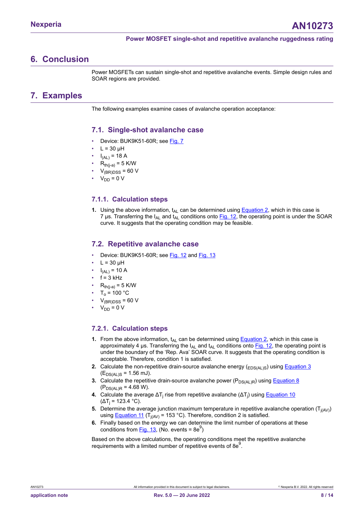## <span id="page-7-0"></span>**6. Conclusion**

Power MOSFETs can sustain single-shot and repetitive avalanche events. Simple design rules and SOAR regions are provided.

## <span id="page-7-1"></span>**7. Examples**

The following examples examine cases of avalanche operation acceptance:

### <span id="page-7-2"></span>**7.1. Single-shot avalanche case**

- Device: BUK9K51-60R; see [Fig. 7](#page-4-0)
- $L = 30 \mu H$
- $I_{(AL)} = 18 A$
- $R_{th(i-a)} = 5$  K/W
- $V_{(BR)DSS}$  = 60 V
- $V_{DD} = 0 V$

#### <span id="page-7-3"></span>**7.1.1. Calculation steps**

**1.** Using the above information, t<sub>AL</sub> can be determined using **Equation 2**, which in this case is 7 µs. Transferring the I<sub>AL</sub> and t<sub>AL</sub> conditions onto [Fig. 12](#page-6-0), the operating point is under the SOAR curve. It suggests that the operating condition may be feasible.

#### <span id="page-7-4"></span>**7.2. Repetitive avalanche case**

- Device: BUK9K51-60R; see [Fig. 12](#page-6-0) and [Fig. 13](#page-6-1)
- $L = 30 \mu H$
- $I_{(AL)} = 10 A$
- $f = 3$  kHz
- $R_{th(i-a)} = 5$  K/W
- $T<sub>o</sub>$  = 100 °C
- $V_{\text{(BR)DSS}}$  = 60 V
- $V_{DD} = 0 V$

### <span id="page-7-5"></span>**7.2.1. Calculation steps**

- **1.** From the above information,  $t_{AL}$  can be determined using **Equation 2**, which in this case is approximately 4 μs. Transferring the  $I_{AL}$  and  $t_{AL}$  conditions onto [Fig. 12,](#page-6-0) the operating point is under the boundary of the 'Rep. Ava' SOAR curve. It suggests that the operating condition is acceptable. Therefore, condition 1 is satisfied.
- **2.** Calculate the non-repetitive drain-source avalanche energy  $(EDS(AL)S)$  using **[Equation 3](#page-2-0)**  $(E_{DS(AL)S} = 1.56$  mJ)
- **3.** Calculate the repetitive drain-source avalanche power  $(P_{DS(AL)R})$  using **[Equation 8](#page-4-1)**  $(P_{DS(AL)R} = 4.68 W).$
- **4.** Calculate the average ΔT<sub>j</sub> rise from repetitive avalanche (ΔT<sub>j</sub>) using <u>Equation 10</u> (ΔT<sub>j</sub> = 123.4 °C).
- **5.** Determine the average junction maximum temperature in repetitive avalanche operation  $\left(\mathsf{T}_{\mathsf{j(AV)}}\right)$ using <u>Equation 11</u> (T<sub>j(AV)</sub> = 153 °C). Therefore, condition 2 is satisfied.
- **6.** Finally based on the energy we can determine the limit number of operations at these conditions from  $Fig. 13$ , (No. events = 8e<sup>9</sup>)

Based on the above calculations, the operating conditions meet the repetitive avalanche requirements with a limited number of repetitive events of 8e $^9$ .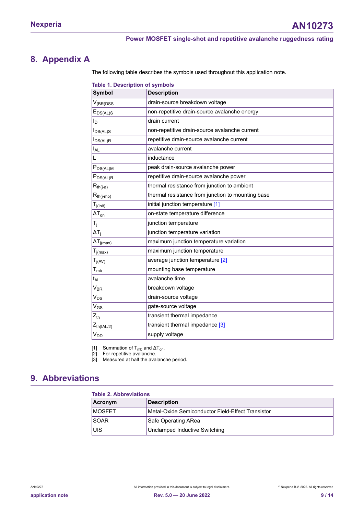# <span id="page-8-3"></span>**8. Appendix A**

<span id="page-8-0"></span>The following table describes the symbols used throughout this application note.

<span id="page-8-1"></span>

| <b>Table 1. Description of symbols</b>            |  |  |  |
|---------------------------------------------------|--|--|--|
| <b>Description</b>                                |  |  |  |
| drain-source breakdown voltage                    |  |  |  |
| non-repetitive drain-source avalanche energy      |  |  |  |
| drain current                                     |  |  |  |
| non-repetitive drain-source avalanche current     |  |  |  |
| repetitive drain-source avalanche current         |  |  |  |
| avalanche current                                 |  |  |  |
| inductance                                        |  |  |  |
| peak drain-source avalanche power                 |  |  |  |
| repetitive drain-source avalanche power           |  |  |  |
| thermal resistance from junction to ambient       |  |  |  |
| thermal resistance from junction to mounting base |  |  |  |
| initial junction temperature [1]                  |  |  |  |
| on-state temperature difference                   |  |  |  |
| junction temperature                              |  |  |  |
| junction temperature variation                    |  |  |  |
| maximum junction temperature variation            |  |  |  |
| maximum junction temperature                      |  |  |  |
| average junction temperature [2]                  |  |  |  |
| mounting base temperature                         |  |  |  |
| avalanche time                                    |  |  |  |
| breakdown voltage                                 |  |  |  |
| drain-source voltage                              |  |  |  |
| gate-source voltage                               |  |  |  |
| transient thermal impedance                       |  |  |  |
| transient thermal impedance [3]                   |  |  |  |
| supply voltage                                    |  |  |  |
|                                                   |  |  |  |

[1] Summation of T<sub>mb</sub> and ΔT<sub>on</sub>.

[2] For repetitive avalanche.

[3] Measured at half the avalanche period.

# <span id="page-8-4"></span>**9. Abbreviations**

<span id="page-8-2"></span>

| <b>Table 2. Abbreviations</b> |                                                   |  |
|-------------------------------|---------------------------------------------------|--|
| Acronym                       | <b>Description</b>                                |  |
| <b>MOSFET</b>                 | Metal-Oxide Semiconductor Field-Effect Transistor |  |
| <b>SOAR</b>                   | Safe Operating ARea                               |  |
| luis                          | Unclamped Inductive Switching                     |  |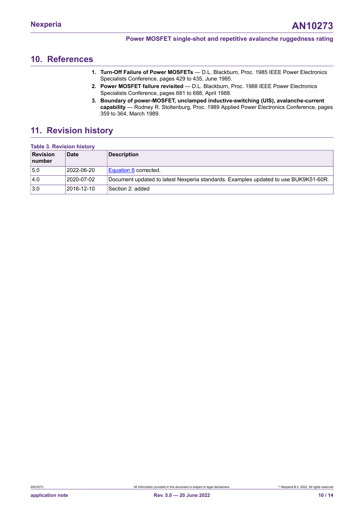## <span id="page-9-4"></span>**10. References**

- <span id="page-9-0"></span>**1. Turn-Off Failure of Power MOSFETs** — D.L. Blackburn, Proc. 1985 IEEE Power Electronics Specialists Conference, pages 429 to 435, June 1985.
- <span id="page-9-1"></span>**2. Power MOSFET failure revisited** — D.L. Blackburn, Proc. 1988 IEEE Power Electronics Specialists Conference, pages 681 to 688, April 1988.
- <span id="page-9-3"></span><span id="page-9-2"></span>**3. Boundary of power-MOSFET, unclamped inductive-switching (UIS), avalanche-current capability** — Rodney R. Stoltenburg, Proc. 1989 Applied Power Electronics Conference, pages 359 to 364, March 1989.

# <span id="page-9-5"></span>**11. Revision history**

### **Table 3. Revision history**

| <b>Revision</b><br>number | <b>Date</b> | <b>Description</b>                                                                  |
|---------------------------|-------------|-------------------------------------------------------------------------------------|
| 5.0                       | 2022-06-20  | Equation 6 corrected.                                                               |
| 4.0                       | 2020-07-02  | Document updated to latest Nexperia standards. Examples updated to use BUK9K51-60R. |
| 3.0                       | 2016-12-10  | Section 2: added                                                                    |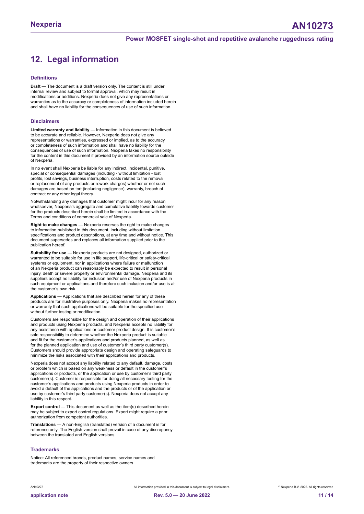# <span id="page-10-0"></span>**12. Legal information**

#### **Definitions**

**Draft** — The document is a draft version only. The content is still under internal review and subject to formal approval, which may result in modifications or additions. Nexperia does not give any representations or warranties as to the accuracy or completeness of information included herein and shall have no liability for the consequences of use of such information.

#### **Disclaimers**

**Limited warranty and liability** — Information in this document is believed to be accurate and reliable. However, Nexperia does not give any representations or warranties, expressed or implied, as to the accuracy or completeness of such information and shall have no liability for the consequences of use of such information. Nexperia takes no responsibility for the content in this document if provided by an information source outside of Nexperia.

In no event shall Nexperia be liable for any indirect, incidental, punitive, special or consequential damages (including - without limitation - lost profits, lost savings, business interruption, costs related to the removal or replacement of any products or rework charges) whether or not such damages are based on tort (including negligence), warranty, breach of contract or any other legal theory.

Notwithstanding any damages that customer might incur for any reason whatsoever, Nexperia's aggregate and cumulative liability towards customer for the products described herein shall be limited in accordance with the Terms and conditions of commercial sale of Nexperia.

**Right to make changes** — Nexperia reserves the right to make changes to information published in this document, including without limitation specifications and product descriptions, at any time and without notice. This document supersedes and replaces all information supplied prior to the publication hereof.

**Suitability for use** — Nexperia products are not designed, authorized or warranted to be suitable for use in life support, life-critical or safety-critical systems or equipment, nor in applications where failure or malfunction of an Nexperia product can reasonably be expected to result in personal injury, death or severe property or environmental damage. Nexperia and its suppliers accept no liability for inclusion and/or use of Nexperia products in such equipment or applications and therefore such inclusion and/or use is at the customer's own risk.

**Applications** — Applications that are described herein for any of these products are for illustrative purposes only. Nexperia makes no representation or warranty that such applications will be suitable for the specified use without further testing or modification.

Customers are responsible for the design and operation of their applications and products using Nexperia products, and Nexperia accepts no liability for any assistance with applications or customer product design. It is customer's sole responsibility to determine whether the Nexperia product is suitable and fit for the customer's applications and products planned, as well as for the planned application and use of customer's third party customer(s). Customers should provide appropriate design and operating safeguards to minimize the risks associated with their applications and products.

Nexperia does not accept any liability related to any default, damage, costs or problem which is based on any weakness or default in the customer's applications or products, or the application or use by customer's third party customer(s). Customer is responsible for doing all necessary testing for the customer's applications and products using Nexperia products in order to avoid a default of the applications and the products or of the application or use by customer's third party customer(s). Nexperia does not accept any liability in this respect.

**Export control** — This document as well as the item(s) described herein may be subject to export control regulations. Export might require a prior authorization from competent authorities.

**Translations** — A non-English (translated) version of a document is for reference only. The English version shall prevail in case of any discrepancy between the translated and English versions.

#### **Trademarks**

Notice: All referenced brands, product names, service names and trademarks are the property of their respective owners.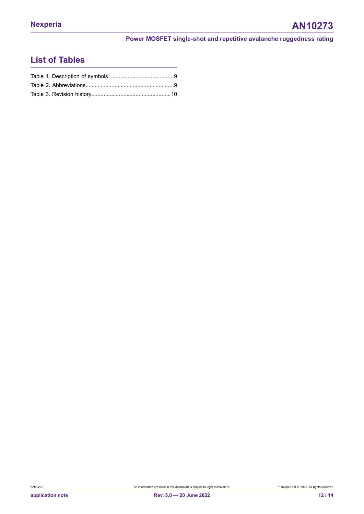# **List of Tables**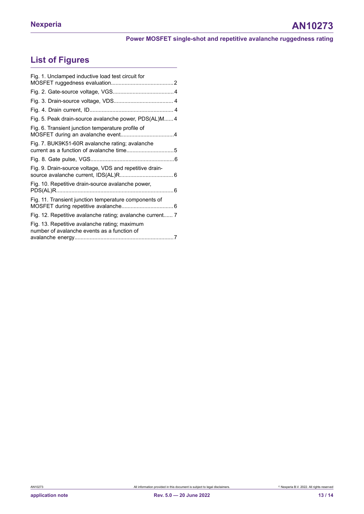# **List of Figures**

| Fig. 1. Unclamped inductive load test circuit for                                            |  |
|----------------------------------------------------------------------------------------------|--|
|                                                                                              |  |
|                                                                                              |  |
|                                                                                              |  |
| Fig. 5. Peak drain-source avalanche power, PDS(AL)M 4                                        |  |
| Fig. 6. Transient junction temperature profile of                                            |  |
| Fig. 7. BUK9K51-60R avalanche rating; avalanche                                              |  |
|                                                                                              |  |
| Fig. 9. Drain-source voltage, VDS and repetitive drain-                                      |  |
| Fig. 10. Repetitive drain-source avalanche power,                                            |  |
| Fig. 11. Transient junction temperature components of                                        |  |
| Fig. 12. Repetitive avalanche rating; avalanche current 7                                    |  |
| Fig. 13. Repetitive avalanche rating; maximum<br>number of avalanche events as a function of |  |
|                                                                                              |  |